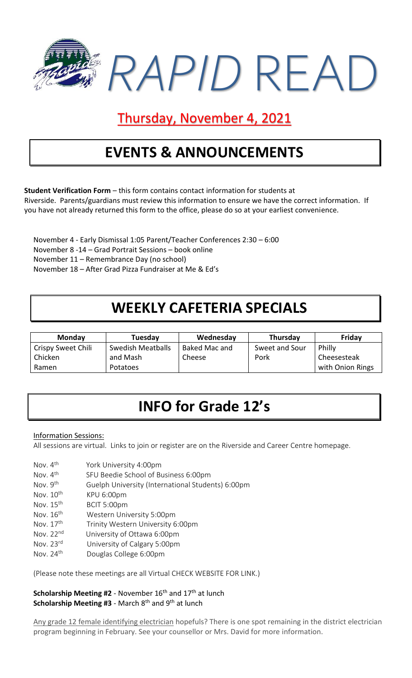

### Thursday, November 4, 2021

## **EVENTS & ANNOUNCEMENTS**

**Student Verification Form** – this form contains contact information for students at Riverside. Parents/guardians must review this information to ensure we have the correct information. If you have not already returned this form to the office, please do so at your earliest convenience.

November 4 - Early Dismissal 1:05 Parent/Teacher Conferences 2:30 – 6:00 November 8 -14 – Grad Portrait Sessions – book online November 11 – Remembrance Day (no school) November 18 – After Grad Pizza Fundraiser at Me & Ed's

# **WEEKLY CAFETERIA SPECIALS**

| Monday             | Tuesday           | Wednesday     | <b>Thursday</b> | Friday           |
|--------------------|-------------------|---------------|-----------------|------------------|
| Crispy Sweet Chili | Swedish Meatballs | Baked Mac and | Sweet and Sour  | Philly           |
| Chicken            | and Mash          | Cheese        | Pork            | Cheesesteak      |
| Ramen              | Potatoes          |               |                 | with Onion Rings |

## **INFO for Grade 12's**

#### Information Sessions:

All sessions are virtual. Links to join or register are on the Riverside and Career Centre homepage.

- Nov. 4<sup>th</sup> York University 4:00pm
- Nov.  $4<sup>th</sup>$ SFU Beedie School of Business 6:00pm
- Nov. 9<sup>th</sup> Guelph University (International Students) 6:00pm
- Nov. 10<sup>th</sup> KPU 6:00pm
- Nov. 15<sup>th</sup> BCIT 5:00pm
- Nov.  $16<sup>th</sup>$ Western University 5:00pm
- Nov. 17<sup>th</sup> Trinity Western University 6:00pm
- Nov. 22nd University of Ottawa 6:00pm
- Nov. 23rd University of Calgary 5:00pm
- Nov. 24th Douglas College 6:00pm

(Please note these meetings are all Virtual CHECK WEBSITE FOR LINK.)

**Scholarship Meeting #2** - November 16<sup>th</sup> and 17<sup>th</sup> at lunch **Scholarship Meeting #3** - March 8<sup>th</sup> and 9<sup>th</sup> at lunch

Any grade 12 female identifying electrician hopefuls? There is one spot remaining in the district electrician program beginning in February. See your counsellor or Mrs. David for more information.